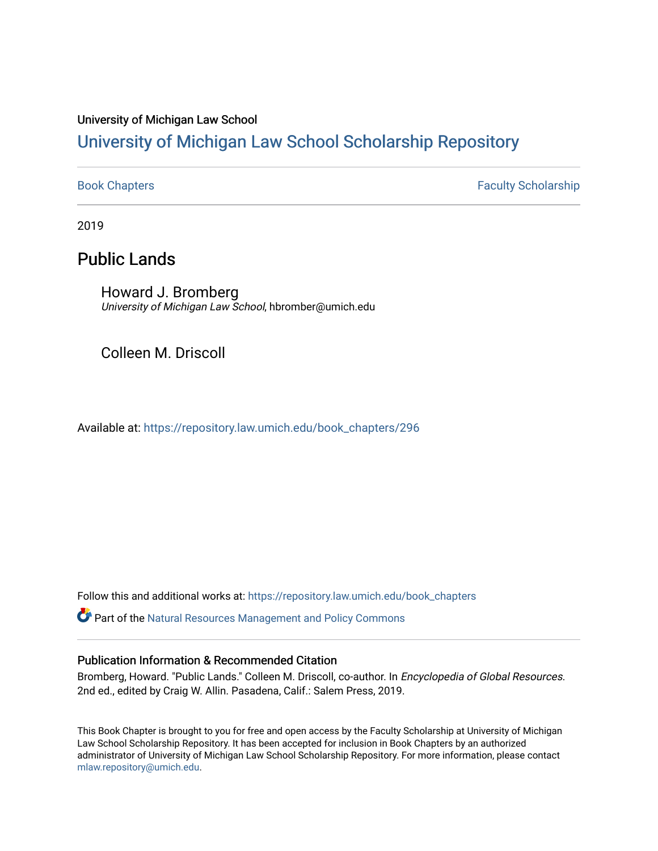# University of Michigan Law School

# [University of Michigan Law School Scholarship Repository](https://repository.law.umich.edu/)

[Book Chapters](https://repository.law.umich.edu/book_chapters) Faculty Scholarship

2019

# Public Lands

Howard J. Bromberg University of Michigan Law School, hbromber@umich.edu

Colleen M. Driscoll

Available at: [https://repository.law.umich.edu/book\\_chapters/296](https://repository.law.umich.edu/book_chapters/296) 

Follow this and additional works at: [https://repository.law.umich.edu/book\\_chapters](https://repository.law.umich.edu/book_chapters?utm_source=repository.law.umich.edu%2Fbook_chapters%2F296&utm_medium=PDF&utm_campaign=PDFCoverPages)

Part of the [Natural Resources Management and Policy Commons](http://network.bepress.com/hgg/discipline/170?utm_source=repository.law.umich.edu%2Fbook_chapters%2F296&utm_medium=PDF&utm_campaign=PDFCoverPages)

### Publication Information & Recommended Citation

Bromberg, Howard. "Public Lands." Colleen M. Driscoll, co-author. In Encyclopedia of Global Resources. 2nd ed., edited by Craig W. Allin. Pasadena, Calif.: Salem Press, 2019.

This Book Chapter is brought to you for free and open access by the Faculty Scholarship at University of Michigan Law School Scholarship Repository. It has been accepted for inclusion in Book Chapters by an authorized administrator of University of Michigan Law School Scholarship Repository. For more information, please contact [mlaw.repository@umich.edu.](mailto:mlaw.repository@umich.edu)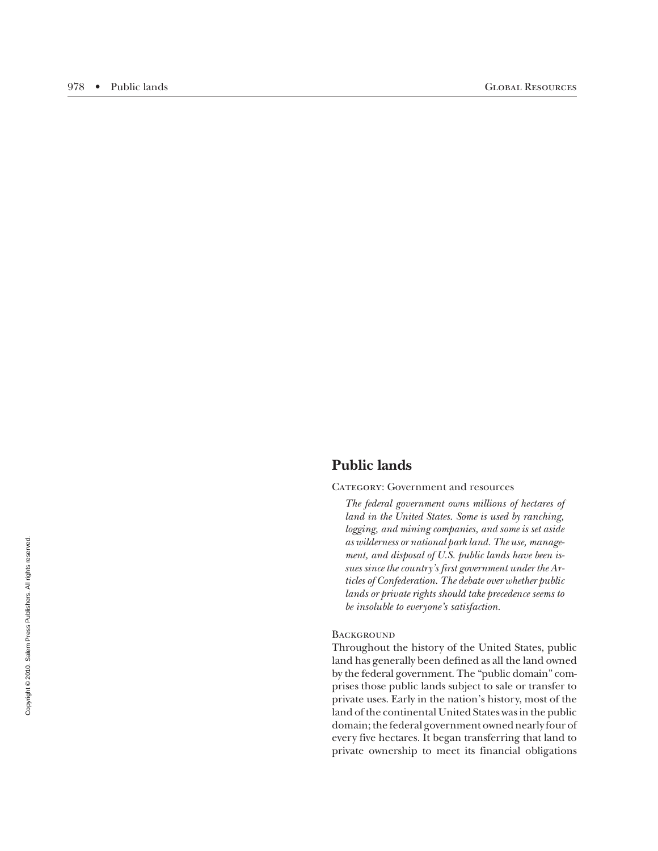# **Public lands**

#### CATEGORY: Government and resources

*The federal government owns millions of hectares of land in the United States. Some is used by ranching, logging, and mining companies, and some is set aside as wilderness or national park land. The use, management, and disposal of U.S. public lands have been issues since the country's first government under the Articles of Confederation. The debate over whether public lands or private rights should take precedence seems to be insoluble to everyone's satisfaction.*

#### **BACKGROUND**

Throughout the history of the United States, public land has generally been defined as all the land owned by the federal government. The "public domain" comprises those public lands subject to sale or transfer to private uses. Early in the nation's history, most of the land of the continental United States was in the public domain; the federal government owned nearly four of every five hectares. It began transferring that land to private ownership to meet its financial obligations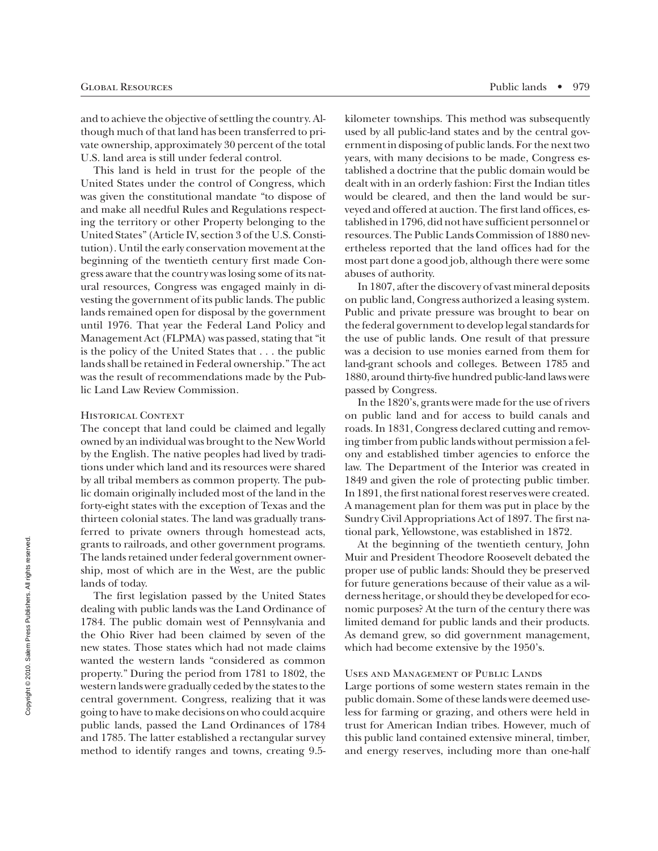and to achieve the objective of settling the country. Although much of that land has been transferred to private ownership, approximately 30 percent of the total U.S. land area is still under federal control.

This land is held in trust for the people of the United States under the control of Congress, which was given the constitutional mandate "to dispose of and make all needful Rules and Regulations respecting the territory or other Property belonging to the United States" (Article IV, section 3 of the U.S. Constitution). Until the early conservation movement at the beginning of the twentieth century first made Congress aware that the country was losing some of its natural resources, Congress was engaged mainly in divesting the government of its public lands. The public lands remained open for disposal by the government until 1976. That year the Federal Land Policy and Management Act (FLPMA) was passed, stating that "it is the policy of the United States that . . . the public lands shall be retained in Federal ownership." The act was the result of recommendations made by the Public Land Law Review Commission.

### HISTORICAL CONTEXT

The concept that land could be claimed and legally owned by an individual was brought to the New World by the English. The native peoples had lived by traditions under which land and its resources were shared by all tribal members as common property. The public domain originally included most of the land in the forty-eight states with the exception of Texas and the thirteen colonial states. The land was gradually transferred to private owners through homestead acts, grants to railroads, and other government programs. The lands retained under federal government ownership, most of which are in the West, are the public lands of today.

The first legislation passed by the United States dealing with public lands was the Land Ordinance of 1784. The public domain west of Pennsylvania and the Ohio River had been claimed by seven of the new states. Those states which had not made claims wanted the western lands "considered as common property." During the period from 1781 to 1802, the western lands were gradually ceded by the states to the central government. Congress, realizing that it was going to have to make decisions on who could acquire public lands, passed the Land Ordinances of 1784 and 1785. The latter established a rectangular survey method to identify ranges and towns, creating 9.5-

kilometer townships. This method was subsequently used by all public-land states and by the central government in disposing of public lands. For the next two years, with many decisions to be made, Congress established a doctrine that the public domain would be dealt with in an orderly fashion: First the Indian titles would be cleared, and then the land would be surveyed and offered at auction. The first land offices, established in 1796, did not have sufficient personnel or resources. The Public Lands Commission of 1880 nevertheless reported that the land offices had for the most part done a good job, although there were some abuses of authority.

In 1807, after the discovery of vast mineral deposits on public land, Congress authorized a leasing system. Public and private pressure was brought to bear on the federal government to develop legal standards for the use of public lands. One result of that pressure was a decision to use monies earned from them for land-grant schools and colleges. Between 1785 and 1880, around thirty-five hundred public-land laws were passed by Congress.

In the 1820's, grants were made for the use of rivers on public land and for access to build canals and roads. In 1831, Congress declared cutting and removing timber from public lands without permission a felony and established timber agencies to enforce the law. The Department of the Interior was created in 1849 and given the role of protecting public timber. In 1891, the first national forest reserves were created. A management plan for them was put in place by the Sundry Civil Appropriations Act of 1897. The first national park, Yellowstone, was established in 1872.

At the beginning of the twentieth century, John Muir and President Theodore Roosevelt debated the proper use of public lands: Should they be preserved for future generations because of their value as a wilderness heritage, or should they be developed for economic purposes? At the turn of the century there was limited demand for public lands and their products. As demand grew, so did government management, which had become extensive by the 1950's.

#### Uses and Management of Public Lands

Large portions of some western states remain in the public domain. Some of these lands were deemed useless for farming or grazing, and others were held in trust for American Indian tribes. However, much of this public land contained extensive mineral, timber, and energy reserves, including more than one-half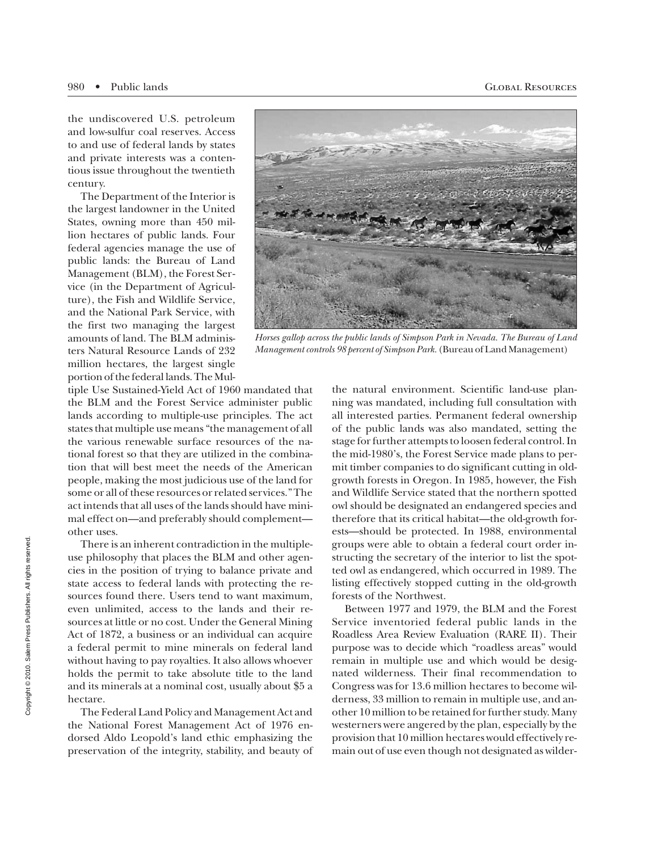the undiscovered U.S. petroleum and low-sulfur coal reserves. Access to and use of federal lands by states and private interests was a contentious issue throughout the twentieth century.

The Department of the Interior is the largest landowner in the United States, owning more than 450 million hectares of public lands. Four federal agencies manage the use of public lands: the Bureau of Land Management (BLM), the Forest Service (in the Department of Agriculture), the Fish and Wildlife Service, and the National Park Service, with the first two managing the largest amounts of land. The BLM administers Natural Resource Lands of 232 million hectares, the largest single portion of the federal lands. The Mul-



*Horses gallop across the public lands of Simpson Park in Nevada. The Bureau of Land Management controls 98 percent of Simpson Park.* (Bureau of Land Management)

tiple Use Sustained-Yield Act of 1960 mandated that the BLM and the Forest Service administer public lands according to multiple-use principles. The act states that multiple use means "the management of all the various renewable surface resources of the national forest so that they are utilized in the combination that will best meet the needs of the American people, making the most judicious use of the land for some or all of these resources or related services." The act intends that all uses of the lands should have minimal effect on—and preferably should complement other uses.

There is an inherent contradiction in the multipleuse philosophy that places the BLM and other agencies in the position of trying to balance private and state access to federal lands with protecting the resources found there. Users tend to want maximum, even unlimited, access to the lands and their resources at little or no cost. Under the General Mining Act of 1872, a business or an individual can acquire a federal permit to mine minerals on federal land without having to pay royalties. It also allows whoever holds the permit to take absolute title to the land and its minerals at a nominal cost, usually about \$5 a hectare.

The Federal Land Policy and Management Act and the National Forest Management Act of 1976 endorsed Aldo Leopold's land ethic emphasizing the preservation of the integrity, stability, and beauty of

the natural environment. Scientific land-use planning was mandated, including full consultation with all interested parties. Permanent federal ownership of the public lands was also mandated, setting the stage for further attempts to loosen federal control. In the mid-1980's, the Forest Service made plans to permit timber companies to do significant cutting in oldgrowth forests in Oregon. In 1985, however, the Fish and Wildlife Service stated that the northern spotted owl should be designated an endangered species and therefore that its critical habitat—the old-growth forests—should be protected. In 1988, environmental groups were able to obtain a federal court order instructing the secretary of the interior to list the spotted owl as endangered, which occurred in 1989. The listing effectively stopped cutting in the old-growth forests of the Northwest.

Between 1977 and 1979, the BLM and the Forest Service inventoried federal public lands in the Roadless Area Review Evaluation (RARE II). Their purpose was to decide which "roadless areas" would remain in multiple use and which would be designated wilderness. Their final recommendation to Congress was for 13.6 million hectares to become wilderness, 33 million to remain in multiple use, and another 10 million to be retained for further study. Many westerners were angered by the plan, especially by the provision that 10 million hectares would effectively remain out of use even though not designated as wilder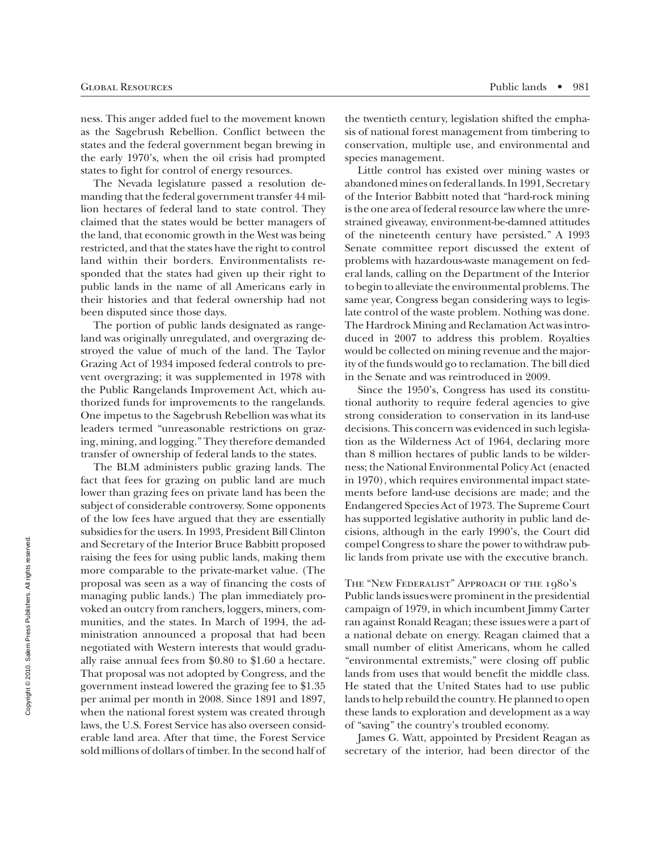ness. This anger added fuel to the movement known as the Sagebrush Rebellion. Conflict between the states and the federal government began brewing in the early 1970's, when the oil crisis had prompted states to fight for control of energy resources.

The Nevada legislature passed a resolution demanding that the federal government transfer 44 million hectares of federal land to state control. They claimed that the states would be better managers of the land, that economic growth in the West was being restricted, and that the states have the right to control land within their borders. Environmentalists responded that the states had given up their right to public lands in the name of all Americans early in their histories and that federal ownership had not been disputed since those days.

The portion of public lands designated as rangeland was originally unregulated, and overgrazing destroyed the value of much of the land. The Taylor Grazing Act of 1934 imposed federal controls to prevent overgrazing; it was supplemented in 1978 with the Public Rangelands Improvement Act, which authorized funds for improvements to the rangelands. One impetus to the Sagebrush Rebellion was what its leaders termed "unreasonable restrictions on grazing, mining, and logging." They therefore demanded transfer of ownership of federal lands to the states.

The BLM administers public grazing lands. The fact that fees for grazing on public land are much lower than grazing fees on private land has been the subject of considerable controversy. Some opponents of the low fees have argued that they are essentially subsidies for the users. In 1993, President Bill Clinton and Secretary of the Interior Bruce Babbitt proposed raising the fees for using public lands, making them more comparable to the private-market value. (The proposal was seen as a way of financing the costs of managing public lands.) The plan immediately provoked an outcry from ranchers, loggers, miners, communities, and the states. In March of 1994, the administration announced a proposal that had been negotiated with Western interests that would gradually raise annual fees from \$0.80 to \$1.60 a hectare. That proposal was not adopted by Congress, and the government instead lowered the grazing fee to \$1.35 per animal per month in 2008. Since 1891 and 1897, when the national forest system was created through laws, the U.S. Forest Service has also overseen considerable land area. After that time, the Forest Service sold millions of dollars of timber. In the second half of

the twentieth century, legislation shifted the emphasis of national forest management from timbering to conservation, multiple use, and environmental and species management.

Little control has existed over mining wastes or abandoned mines on federal lands. In 1991, Secretary of the Interior Babbitt noted that "hard-rock mining is the one area of federal resource law where the unrestrained giveaway, environment-be-damned attitudes of the nineteenth century have persisted." A 1993 Senate committee report discussed the extent of problems with hazardous-waste management on federal lands, calling on the Department of the Interior to begin to alleviate the environmental problems. The same year, Congress began considering ways to legislate control of the waste problem. Nothing was done. The Hardrock Mining and Reclamation Act was introduced in 2007 to address this problem. Royalties would be collected on mining revenue and the majority of the funds would go to reclamation. The bill died in the Senate and was reintroduced in 2009.

Since the 1950's, Congress has used its constitutional authority to require federal agencies to give strong consideration to conservation in its land-use decisions. This concern was evidenced in such legislation as the Wilderness Act of 1964, declaring more than 8 million hectares of public lands to be wilderness; the National Environmental Policy Act (enacted in 1970), which requires environmental impact statements before land-use decisions are made; and the Endangered Species Act of 1973. The Supreme Court has supported legislative authority in public land decisions, although in the early 1990's, the Court did compel Congress to share the power to withdraw public lands from private use with the executive branch.

The "New Federalist" Approach of the 1980's Public lands issues were prominent in the presidential campaign of 1979, in which incumbent Jimmy Carter ran against Ronald Reagan; these issues were a part of a national debate on energy. Reagan claimed that a small number of elitist Americans, whom he called "environmental extremists," were closing off public lands from uses that would benefit the middle class. He stated that the United States had to use public lands to help rebuild the country. He planned to open these lands to exploration and development as a way of "saving" the country's troubled economy.

James G. Watt, appointed by President Reagan as secretary of the interior, had been director of the